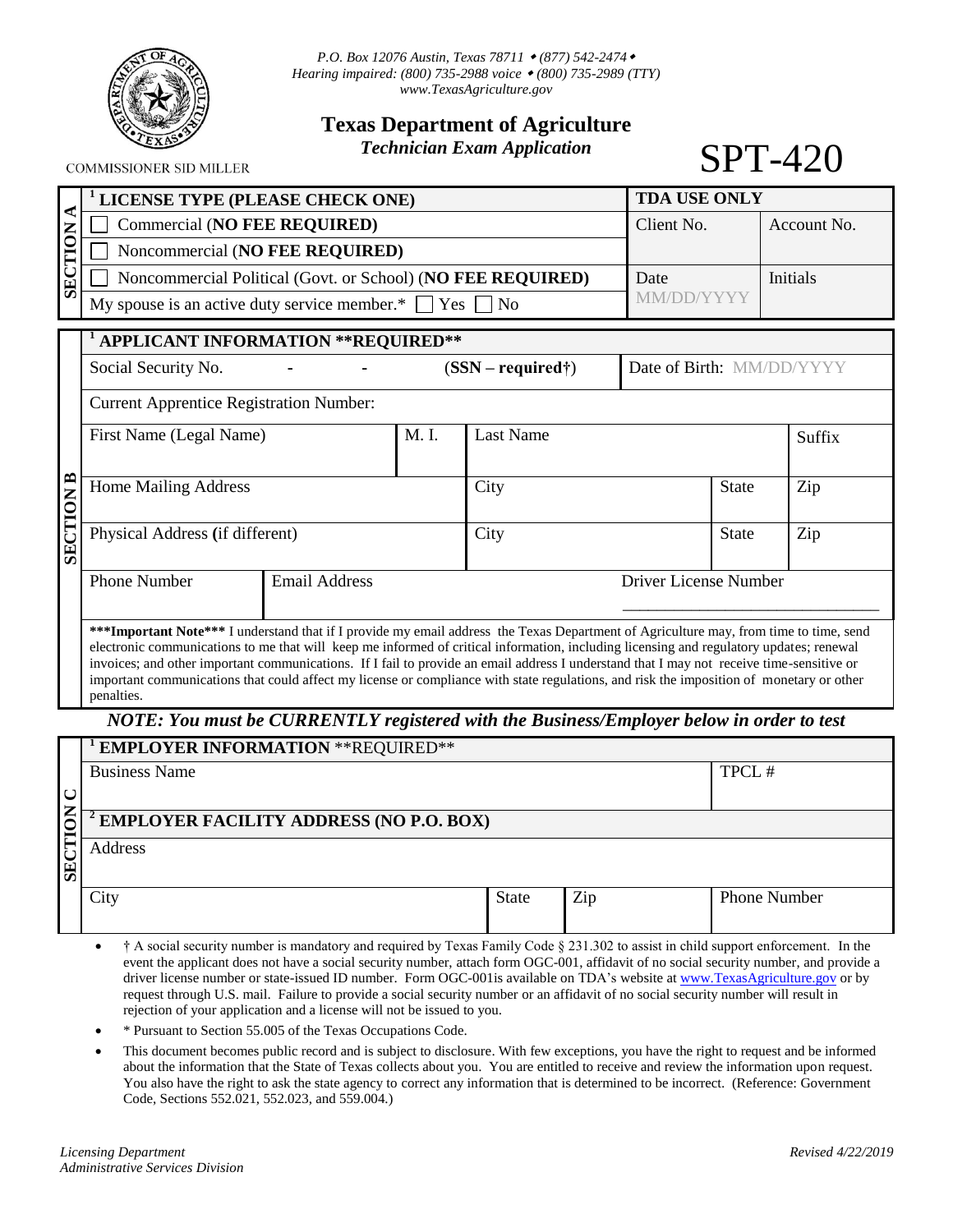

*P.O. Box 12076 Austin, Texas 78711 (877) 542-2474 Hearing impaired: (800) 735-2988 voice (800) 735-2989 (TTY) [www.TexasAgriculture.gov](http://www.agr.state.tx.us/)* 

## **Texas Department of Agriculture**

*Technician Exam Application*

# SPT-420

**COMMISSIONER SID MILLER** 

| SECTION          | LICENSE TYPE (PLEASE CHECK ONE)                                                                                                                                                                                                                                                                                                                                                                                                                                                                                                                                                                                                                                                     |                      |  |                           | <b>TDA USE ONLY</b>          |  |             |  |
|------------------|-------------------------------------------------------------------------------------------------------------------------------------------------------------------------------------------------------------------------------------------------------------------------------------------------------------------------------------------------------------------------------------------------------------------------------------------------------------------------------------------------------------------------------------------------------------------------------------------------------------------------------------------------------------------------------------|----------------------|--|---------------------------|------------------------------|--|-------------|--|
|                  | Commercial (NO FEE REQUIRED)                                                                                                                                                                                                                                                                                                                                                                                                                                                                                                                                                                                                                                                        |                      |  |                           | Client No.                   |  | Account No. |  |
|                  | Noncommercial (NO FEE REQUIRED)                                                                                                                                                                                                                                                                                                                                                                                                                                                                                                                                                                                                                                                     |                      |  |                           |                              |  |             |  |
|                  | Noncommercial Political (Govt. or School) (NO FEE REQUIRED)                                                                                                                                                                                                                                                                                                                                                                                                                                                                                                                                                                                                                         |                      |  |                           | Date                         |  | Initials    |  |
|                  | My spouse is an active duty service member.* $\Box$ Yes [<br>$\Box$ No                                                                                                                                                                                                                                                                                                                                                                                                                                                                                                                                                                                                              |                      |  |                           | MM/DD/YYYY                   |  |             |  |
|                  | <b>APPLICANT INFORMATION ** REQUIRED**</b>                                                                                                                                                                                                                                                                                                                                                                                                                                                                                                                                                                                                                                          |                      |  |                           |                              |  |             |  |
|                  | Social Security No.                                                                                                                                                                                                                                                                                                                                                                                                                                                                                                                                                                                                                                                                 |                      |  | $(SSN - required\dagger)$ | Date of Birth: MM/DD/YYYY    |  |             |  |
|                  | <b>Current Apprentice Registration Number:</b>                                                                                                                                                                                                                                                                                                                                                                                                                                                                                                                                                                                                                                      |                      |  |                           |                              |  |             |  |
| <b>SECTION B</b> | M. I.<br>First Name (Legal Name)                                                                                                                                                                                                                                                                                                                                                                                                                                                                                                                                                                                                                                                    |                      |  | <b>Last Name</b>          |                              |  | Suffix      |  |
|                  |                                                                                                                                                                                                                                                                                                                                                                                                                                                                                                                                                                                                                                                                                     |                      |  |                           |                              |  |             |  |
|                  | Home Mailing Address                                                                                                                                                                                                                                                                                                                                                                                                                                                                                                                                                                                                                                                                |                      |  | City<br><b>State</b>      |                              |  | Zip         |  |
|                  | Physical Address (if different)                                                                                                                                                                                                                                                                                                                                                                                                                                                                                                                                                                                                                                                     |                      |  | City<br><b>State</b>      |                              |  | Zip         |  |
|                  | <b>Phone Number</b>                                                                                                                                                                                                                                                                                                                                                                                                                                                                                                                                                                                                                                                                 | <b>Email Address</b> |  |                           | <b>Driver License Number</b> |  |             |  |
|                  | ***Important Note*** I understand that if I provide my email address the Texas Department of Agriculture may, from time to time, send<br>electronic communications to me that will keep me informed of critical information, including licensing and regulatory updates; renewal<br>invoices; and other important communications. If I fail to provide an email address I understand that I may not receive time-sensitive or<br>important communications that could affect my license or compliance with state regulations, and risk the imposition of monetary or other<br>penalties.<br>NOTE: You must be CURRENTLY registered with the Business/Employer below in order to test |                      |  |                           |                              |  |             |  |

#### *NOTE: You must be CURRENTLY registered with the Business/Employer below in order to test*

|                                               | <b>EMPLOYER INFORMATION ** REQUIRED**</b>                                                                                                              |       |        |                     |  |  |  |  |
|-----------------------------------------------|--------------------------------------------------------------------------------------------------------------------------------------------------------|-------|--------|---------------------|--|--|--|--|
|                                               | <b>Business Name</b>                                                                                                                                   |       | TPCL # |                     |  |  |  |  |
| $\mathbf C$                                   |                                                                                                                                                        |       |        |                     |  |  |  |  |
| $\mathsf{\Xi}% _{M_{1},M_{2}}^{\alpha,\beta}$ | <sup>2</sup> EMPLOYER FACILITY ADDRESS (NO P.O. BOX)                                                                                                   |       |        |                     |  |  |  |  |
| SECTI                                         | Address                                                                                                                                                |       |        |                     |  |  |  |  |
|                                               |                                                                                                                                                        |       |        |                     |  |  |  |  |
|                                               | City                                                                                                                                                   | State | Zip    | <b>Phone Number</b> |  |  |  |  |
|                                               |                                                                                                                                                        |       |        |                     |  |  |  |  |
|                                               | $\pm$ A social security number is mandetery and required by Tayes Family Code 8 221 202 to essist in objd support opforesment. In the<br>$\sim$ $\sim$ |       |        |                     |  |  |  |  |

- † A social security number is mandatory and required by Texas Family Code § 231.302 to assist in child support enforcement. In the event the applicant does not have a social security number, attach form OGC-001, affidavit of no social security number, and provide a driver license number or state-issued ID number. Form OGC-001is available on TDA's website at [www.TexasAgriculture.gov](http://www.texasagriculture.gov/) or by request through U.S. mail. Failure to provide a social security number or an affidavit of no social security number will result in rejection of your application and a license will not be issued to you.
- \* Pursuant to Section 55.005 of the Texas Occupations Code.
- This document becomes public record and is subject to disclosure. With few exceptions, you have the right to request and be informed about the information that the State of Texas collects about you. You are entitled to receive and review the information upon request. You also have the right to ask the state agency to correct any information that is determined to be incorrect. (Reference: Government Code, Sections 552.021, 552.023, and 559.004.)